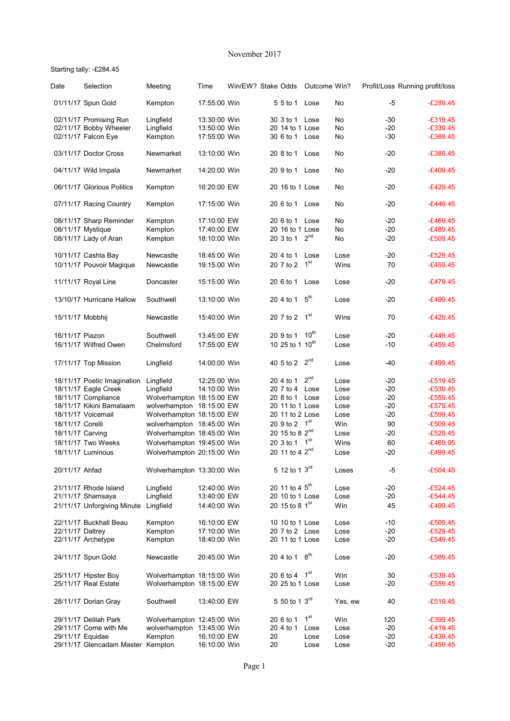## November 2017

## Starting tally: -£284.45

| Date             | Selection                         | Meeting                    | Time         | Win/EW? Stake Odds |    |                             | Outcome Win?     |         |       | Profit/Loss Running profit/loss |
|------------------|-----------------------------------|----------------------------|--------------|--------------------|----|-----------------------------|------------------|---------|-------|---------------------------------|
|                  | 01/11/17 Spun Gold                | Kempton                    | 17:55:00 Win |                    |    | 5 5 to 1                    | Lose             | No      | $-5$  | $-E289.45$                      |
|                  | 02/11/17 Promising Run            | Lingfield                  | 13:30:00 Win |                    |    | 30 3 to 1                   | Lose             | No      | -30   | $-£319.45$                      |
|                  | 02/11/17 Bobby Wheeler            | Lingfield                  | 13:50:00 Win |                    |    | 20 14 to 1 Lose             |                  | No      | $-20$ | $-£339.45$                      |
|                  | 02/11/17 Falcon Eye               | Kempton                    | 17:55:00 Win |                    |    | 30 6 to 1                   | Lose             | No      | -30   | $-£369.45$                      |
|                  | 03/11/17 Doctor Cross             | Newmarket                  | 13:10:00 Win |                    |    | 20 8 to 1                   | Lose             | No      | $-20$ | $-£389.45$                      |
|                  | 04/11/17 Wild Impala              | Newmarket                  | 14:20:00 Win |                    |    | 20 9 to 1 Lose              |                  | No      | $-20$ | $-£409.45$                      |
|                  | 06/11/17 Glorious Politics        | Kempton                    | 16:20:00 EW  |                    |    | 20 16 to 1 Lose             |                  | No      | $-20$ | $-£429.45$                      |
|                  | 07/11/17 Racing Country           | Kempton                    | 17:15:00 Win |                    |    | 20 6 to 1                   | Lose             | No      | $-20$ | $-£449.45$                      |
|                  | 08/11/17 Sharp Reminder           | Kempton                    | 17:10:00 EW  |                    |    | 20 6 to 1                   | Lose             | No      | $-20$ | $-£469.45$                      |
|                  | 08/11/17 Mystique                 | Kempton                    | 17:40:00 EW  |                    |    | 20 16 to 1 Lose             |                  | No      | $-20$ | $-£489.45$                      |
|                  | 08/11/17 Lady of Aran             | Kempton                    | 18:10:00 Win |                    |    | 20 3 to 1                   | $2^{nd}$         | No      | $-20$ | $-£509.45$                      |
|                  | 10/11/17 Cashla Bay               | Newcastle                  | 18:45:00 Win |                    |    | 20 4 to 1                   | Lose             | Lose    | $-20$ | $-£529.45$                      |
|                  | 10/11/17 Pouvoir Magique          | Newcastle                  | 19:15:00 Win |                    |    | 20 7 to 2                   | 1 <sup>st</sup>  | Wins    | 70    | $-£459.45$                      |
|                  |                                   |                            |              |                    |    |                             |                  |         |       |                                 |
|                  | 11/11/17 Royal Line               | Doncaster                  | 15:15:00 Win |                    |    | 20 6 to 1                   | Lose             | Lose    | $-20$ | $-£479.45$                      |
|                  | 13/10/17 Hurricane Hallow         | Southwell                  | 13:10:00 Win |                    |    | 20 4 to 1                   | 5 <sup>th</sup>  | Lose    | $-20$ | $-£499.45$                      |
| 15/11/17 Mobbhij |                                   | Newcastle                  | 15:40:00 Win |                    |    | 20 7 to 2                   | 1 <sup>st</sup>  | Wins    | 70    | $-£429.45$                      |
| 16/11/17 Piazon  |                                   | Southwell                  | 13:45:00 EW  |                    |    | 20 9 to 1                   | 10 <sup>th</sup> | Lose    | $-20$ | $-£449.45$                      |
|                  | 16/11/17 Wilfred Owen             | Chelmsford                 | 17:55:00 EW  |                    |    | 10 25 to 1 10 <sup>th</sup> |                  | Lose    | $-10$ | $-£459.45$                      |
|                  | 17/11/17 Top Mission              | Lingfield                  | 14:00:00 Win |                    |    | 40 5 to 2                   | $2^{nd}$         | Lose    | $-40$ | $-£499.45$                      |
|                  | 18/11/17 Poetic Imagination       | Lingfield                  | 12:25:00 Win |                    |    | 20 4 to 1                   | 2 <sup>nd</sup>  | Lose    | $-20$ | $-£519.45$                      |
|                  | 18/11/17 Eagle Creek              | Lingfield                  | 14:10:00 Win |                    |    | 20 7 to 4                   | Lose             | Lose    | $-20$ | $-£539.45$                      |
|                  | 18/11/17 Compliance               | Wolverhampton 18:15:00 EW  |              |                    |    | 20 8 to 1                   | Lose             | Lose    | $-20$ | $-£559.45$                      |
|                  | 18/11/17 Kikini Bamalaam          | wolverhampton 18:15:00 EW  |              |                    |    | 20 11 to 1 Lose             |                  | Lose    | $-20$ | $-£579.45$                      |
|                  | 18/11/17 Voicemail                | Wolverhampton 18:15:00 EW  |              |                    |    | 20 11 to 2 Lose             |                  | Lose    | $-20$ | $-£599.45$                      |
| 18/11/17 Corelli |                                   | wolverhampton 18:45:00 Win |              |                    |    | 20 9 to 2 1st               |                  | Win     | 90    | $-£509.45$                      |
| 18/11/17 Carving |                                   | Wolverhampton 18:45:00 Win |              |                    |    | 20 15 to 8 2 <sup>nd</sup>  |                  | Lose    | $-20$ | $-£529.45$                      |
|                  | 18/11/17 Two Weeks                | Wolverhampton 19:45:00 Win |              |                    |    | 20 3 to 1                   | 1 <sup>st</sup>  | Wins    | 60    | $-£469.95$                      |
|                  | 18/11/17 Luminous                 | Wolverhampton 20:15:00 Win |              |                    |    | 20 11 to 4 2 <sup>nd</sup>  |                  | Lose    | $-20$ | $-£499.45$                      |
|                  |                                   |                            |              |                    |    |                             |                  |         |       |                                 |
| 20/11/17 Ahfad   |                                   | Wolverhampton 13:30:00 Win |              |                    |    | 5 12 to 1 3rd               |                  | Loses   | -5    | $-£504.45$                      |
|                  | 21/11/17 Rhode Island             | Lingfield                  | 12:40:00 Win |                    |    | 20 11 to 4 5 <sup>th</sup>  |                  | Lose    | $-20$ | $-£524.45$                      |
|                  | 21/11/17 Shamsaya                 | Lingfield                  | 13:40:00 EW  |                    |    | 20 10 to 1 Lose             |                  | Lose    | $-20$ | $-£544.45$                      |
|                  | 21/11/17 Unforgiving Minute       | Lingfield                  | 14:40:00 Win |                    |    | 20 15 to 8 1st              |                  | Win     | 45    | $-E499.45$                      |
|                  | 22/11/17 Buckhall Beau            | Kempton                    | 16:10:00 EW  |                    |    | 10 10 to 1 Lose             |                  | Lose    | -10   | $-E509.45$                      |
| 22/11/17 Daltrey |                                   | Kempton                    | 17:10:00 Win |                    |    | 20 7 to 2 Lose              |                  | Lose    | $-20$ | $-£529.45$                      |
|                  | 22/11/17 Archetype                | Kempton                    | 18:40:00 Win |                    |    | 20 11 to 1 Lose             |                  | Lose    | $-20$ | $-£549.45$                      |
|                  |                                   |                            |              |                    |    |                             |                  |         |       |                                 |
|                  | 24/11/17 Spun Gold                | Newcastle                  | 20:45:00 Win |                    |    | 20 4 to 1                   | 8 <sup>th</sup>  | Lose    | $-20$ | $-£569.45$                      |
|                  | 25/11/17 Hipster Boy              | Wolverhampton 18:15:00 Win |              |                    |    | 20 6 to 4                   | 1 <sup>st</sup>  | Win     | 30    | $-E539.45$                      |
|                  | 25/11/17 Real Estate              | Wolverhampton 18:15:00 EW  |              |                    |    | 20 25 to 1 Lose             |                  | Lose    | $-20$ | $-£559.45$                      |
|                  | 28/11/17 Dorian Gray              | Southwell                  | 13:40:00 EW  |                    |    | 5 50 to 1 3rd               |                  | Yes, ew | 40    | $-£519.45$                      |
|                  | 29/11/17 Delilah Park             | Wolverhampton 12:45:00 Win |              |                    |    | 20 6 to 1                   | 1 <sup>st</sup>  | Win     | 120   | $-£399.45$                      |
|                  | 29/11/17 Come with Me             | wolverhampton 13:45:00 Win |              |                    |    | 20 4 to 1                   | Lose             | Lose    | $-20$ | $-E419.45$                      |
| 29/11/17 Equidae |                                   | Kempton                    | 16:10:00 EW  |                    | 20 |                             | Lose             | Lose    | $-20$ | $-E439.45$                      |
|                  | 29/11/17 Glencadam Master Kempton |                            | 16:10:00 Win |                    | 20 |                             | Lose             | Lose    | $-20$ | $-E459.45$                      |